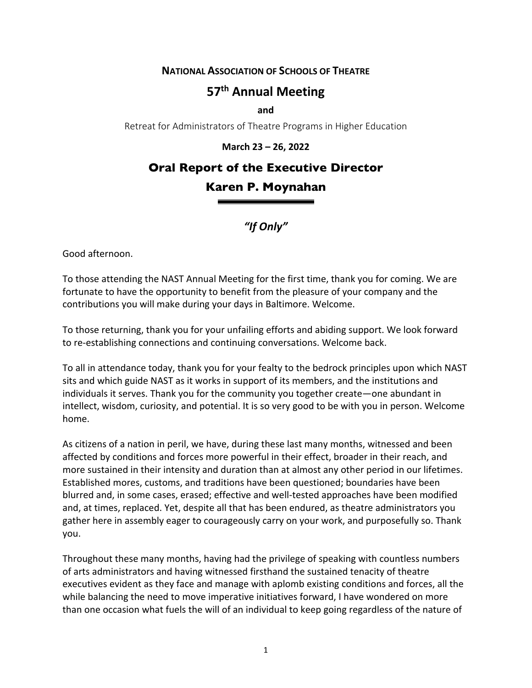**NATIONAL ASSOCIATION OF SCHOOLS OF THEATRE**

## **57th Annual Meeting**

**and**

Retreat for Administrators of Theatre Programs in Higher Education

## **March 23 – 26, 2022**

## **Oral Report of the Executive Director Karen P. Moynahan**

*"If Only"*

Good afternoon.

To those attending the NAST Annual Meeting for the first time, thank you for coming. We are fortunate to have the opportunity to benefit from the pleasure of your company and the contributions you will make during your days in Baltimore. Welcome.

To those returning, thank you for your unfailing efforts and abiding support. We look forward to re-establishing connections and continuing conversations. Welcome back.

To all in attendance today, thank you for your fealty to the bedrock principles upon which NAST sits and which guide NAST as it works in support of its members, and the institutions and individuals it serves. Thank you for the community you together create—one abundant in intellect, wisdom, curiosity, and potential. It is so very good to be with you in person. Welcome home.

As citizens of a nation in peril, we have, during these last many months, witnessed and been affected by conditions and forces more powerful in their effect, broader in their reach, and more sustained in their intensity and duration than at almost any other period in our lifetimes. Established mores, customs, and traditions have been questioned; boundaries have been blurred and, in some cases, erased; effective and well-tested approaches have been modified and, at times, replaced. Yet, despite all that has been endured, as theatre administrators you gather here in assembly eager to courageously carry on your work, and purposefully so. Thank you.

Throughout these many months, having had the privilege of speaking with countless numbers of arts administrators and having witnessed firsthand the sustained tenacity of theatre executives evident as they face and manage with aplomb existing conditions and forces, all the while balancing the need to move imperative initiatives forward, I have wondered on more than one occasion what fuels the will of an individual to keep going regardless of the nature of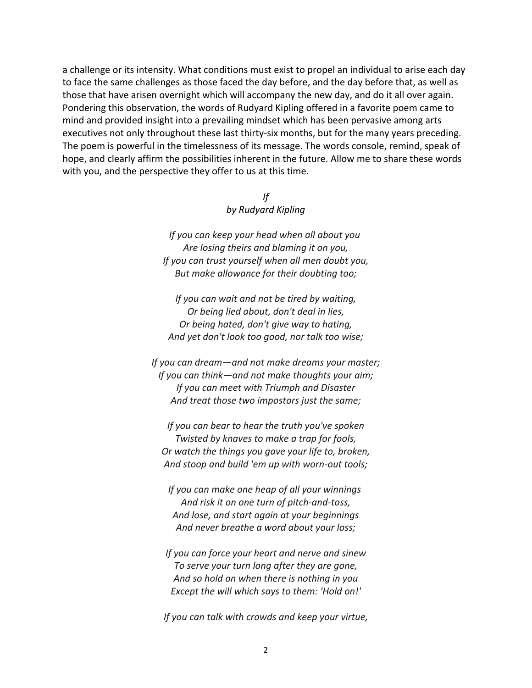a challenge or its intensity. What conditions must exist to propel an individual to arise each day to face the same challenges as those faced the day before, and the day before that, as well as those that have arisen overnight which will accompany the new day, and do it all over again. Pondering this observation, the words of Rudyard Kipling offered in a favorite poem came to mind and provided insight into a prevailing mindset which has been pervasive among arts executives not only throughout these last thirty-six months, but for the many years preceding. The poem is powerful in the timelessness of its message. The words console, remind, speak of hope, and clearly affirm the possibilities inherent in the future. Allow me to share these words with you, and the perspective they offer to us at this time.

> *If by Rudyard Kipling*

*If you can keep your head when all about you Are losing theirs and blaming it on you, If you can trust yourself when all men doubt you, But make allowance for their doubting too;*

*If you can wait and not be tired by waiting, Or being lied about, don't deal in lies, Or being hated, don't give way to hating, And yet don't look too good, nor talk too wise;*

*If you can dream—and not make dreams your master; If you can think—and not make thoughts your aim; If you can meet with Triumph and Disaster And treat those two impostors just the same;*

*If you can bear to hear the truth you've spoken Twisted by knaves to make a trap for fools, Or watch the things you gave your life to, broken, And stoop and build 'em up with worn-out tools;*

*If you can make one heap of all your winnings And risk it on one turn of pitch-and-toss, And lose, and start again at your beginnings And never breathe a word about your loss;*

*If you can force your heart and nerve and sinew To serve your turn long after they are gone, And so hold on when there is nothing in you Except the will which says to them: 'Hold on!'*

*If you can talk with crowds and keep your virtue,*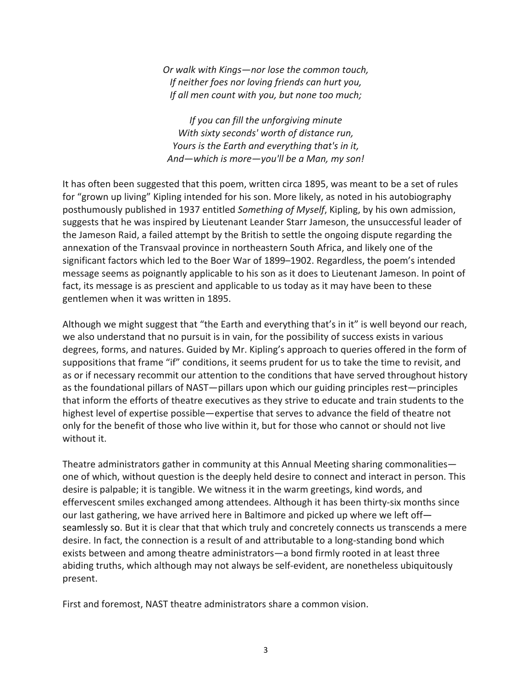*Or walk with Kings—nor lose the common touch, If neither foes nor loving friends can hurt you, If all men count with you, but none too much;*

*If you can fill the unforgiving minute With sixty seconds' worth of distance run, Yours is the Earth and everything that's in it, And—which is more—you'll be a Man, my son!*

It has often been suggested that this poem, written circa 1895, was meant to be a set of rules for "grown up living" Kipling intended for his son. More likely, as noted in his autobiography posthumously published in 1937 entitled *Something of Myself*, Kipling, by his own admission, suggests that he was inspired by Lieutenant Leander Starr Jameson, the unsuccessful leader of the Jameson Raid, a failed attempt by the British to settle the ongoing dispute regarding the annexation of the Transvaal province in northeastern South Africa, and likely one of the significant factors which led to the Boer War of 1899–1902. Regardless, the poem's intended message seems as poignantly applicable to his son as it does to Lieutenant Jameson. In point of fact, its message is as prescient and applicable to us today as it may have been to these gentlemen when it was written in 1895.

Although we might suggest that "the Earth and everything that's in it" is well beyond our reach, we also understand that no pursuit is in vain, for the possibility of success exists in various degrees, forms, and natures. Guided by Mr. Kipling's approach to queries offered in the form of suppositions that frame "if" conditions, it seems prudent for us to take the time to revisit, and as or if necessary recommit our attention to the conditions that have served throughout history as the foundational pillars of NAST—pillars upon which our guiding principles rest—principles that inform the efforts of theatre executives as they strive to educate and train students to the highest level of expertise possible—expertise that serves to advance the field of theatre not only for the benefit of those who live within it, but for those who cannot or should not live without it.

Theatre administrators gather in community at this Annual Meeting sharing commonalities one of which, without question is the deeply held desire to connect and interact in person. This desire is palpable; it is tangible. We witness it in the warm greetings, kind words, and effervescent smiles exchanged among attendees. Although it has been thirty-six months since our last gathering, we have arrived here in Baltimore and picked up where we left off seamlessly so. But it is clear that that which truly and concretely connects us transcends a mere desire. In fact, the connection is a result of and attributable to a long-standing bond which exists between and among theatre administrators—a bond firmly rooted in at least three abiding truths, which although may not always be self-evident, are nonetheless ubiquitously present.

First and foremost, NAST theatre administrators share a common vision.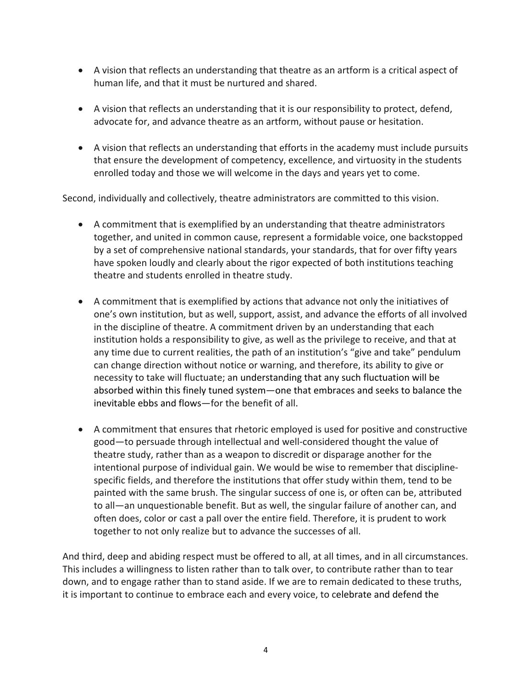- A vision that reflects an understanding that theatre as an artform is a critical aspect of human life, and that it must be nurtured and shared.
- A vision that reflects an understanding that it is our responsibility to protect, defend, advocate for, and advance theatre as an artform, without pause or hesitation.
- A vision that reflects an understanding that efforts in the academy must include pursuits that ensure the development of competency, excellence, and virtuosity in the students enrolled today and those we will welcome in the days and years yet to come.

Second, individually and collectively, theatre administrators are committed to this vision.

- A commitment that is exemplified by an understanding that theatre administrators together, and united in common cause, represent a formidable voice, one backstopped by a set of comprehensive national standards, your standards, that for over fifty years have spoken loudly and clearly about the rigor expected of both institutions teaching theatre and students enrolled in theatre study.
- A commitment that is exemplified by actions that advance not only the initiatives of one's own institution, but as well, support, assist, and advance the efforts of all involved in the discipline of theatre. A commitment driven by an understanding that each institution holds a responsibility to give, as well as the privilege to receive, and that at any time due to current realities, the path of an institution's "give and take" pendulum can change direction without notice or warning, and therefore, its ability to give or necessity to take will fluctuate; an understanding that any such fluctuation will be absorbed within this finely tuned system—one that embraces and seeks to balance the inevitable ebbs and flows—for the benefit of all.
- A commitment that ensures that rhetoric employed is used for positive and constructive good—to persuade through intellectual and well-considered thought the value of theatre study, rather than as a weapon to discredit or disparage another for the intentional purpose of individual gain. We would be wise to remember that disciplinespecific fields, and therefore the institutions that offer study within them, tend to be painted with the same brush. The singular success of one is, or often can be, attributed to all—an unquestionable benefit. But as well, the singular failure of another can, and often does, color or cast a pall over the entire field. Therefore, it is prudent to work together to not only realize but to advance the successes of all.

And third, deep and abiding respect must be offered to all, at all times, and in all circumstances. This includes a willingness to listen rather than to talk over, to contribute rather than to tear down, and to engage rather than to stand aside. If we are to remain dedicated to these truths, it is important to continue to embrace each and every voice, to celebrate and defend the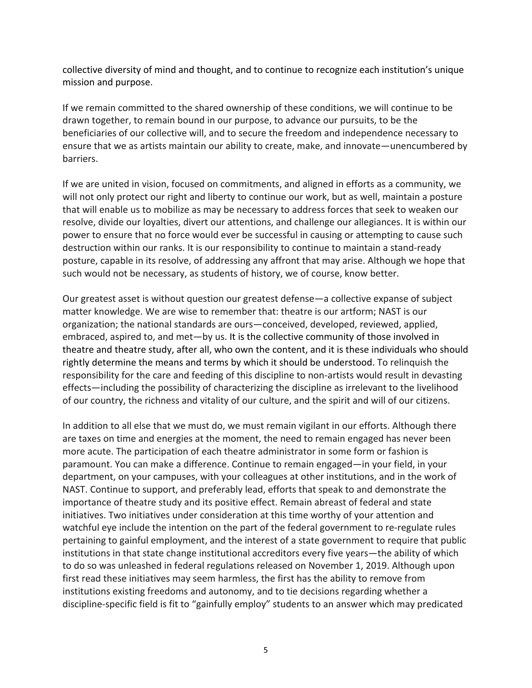collective diversity of mind and thought, and to continue to recognize each institution's unique mission and purpose.

If we remain committed to the shared ownership of these conditions, we will continue to be drawn together, to remain bound in our purpose, to advance our pursuits, to be the beneficiaries of our collective will, and to secure the freedom and independence necessary to ensure that we as artists maintain our ability to create, make, and innovate—unencumbered by barriers.

If we are united in vision, focused on commitments, and aligned in efforts as a community, we will not only protect our right and liberty to continue our work, but as well, maintain a posture that will enable us to mobilize as may be necessary to address forces that seek to weaken our resolve, divide our loyalties, divert our attentions, and challenge our allegiances. It is within our power to ensure that no force would ever be successful in causing or attempting to cause such destruction within our ranks. It is our responsibility to continue to maintain a stand-ready posture, capable in its resolve, of addressing any affront that may arise. Although we hope that such would not be necessary, as students of history, we of course, know better.

Our greatest asset is without question our greatest defense—a collective expanse of subject matter knowledge. We are wise to remember that: theatre is our artform; NAST is our organization; the national standards are ours—conceived, developed, reviewed, applied, embraced, aspired to, and met—by us. It is the collective community of those involved in theatre and theatre study, after all, who own the content, and it is these individuals who should rightly determine the means and terms by which it should be understood. To relinquish the responsibility for the care and feeding of this discipline to non-artists would result in devasting effects—including the possibility of characterizing the discipline as irrelevant to the livelihood of our country, the richness and vitality of our culture, and the spirit and will of our citizens.

In addition to all else that we must do, we must remain vigilant in our efforts. Although there are taxes on time and energies at the moment, the need to remain engaged has never been more acute. The participation of each theatre administrator in some form or fashion is paramount. You can make a difference. Continue to remain engaged—in your field, in your department, on your campuses, with your colleagues at other institutions, and in the work of NAST. Continue to support, and preferably lead, efforts that speak to and demonstrate the importance of theatre study and its positive effect. Remain abreast of federal and state initiatives. Two initiatives under consideration at this time worthy of your attention and watchful eye include the intention on the part of the federal government to re-regulate rules pertaining to gainful employment, and the interest of a state government to require that public institutions in that state change institutional accreditors every five years—the ability of which to do so was unleashed in federal regulations released on November 1, 2019. Although upon first read these initiatives may seem harmless, the first has the ability to remove from institutions existing freedoms and autonomy, and to tie decisions regarding whether a discipline-specific field is fit to "gainfully employ" students to an answer which may predicated